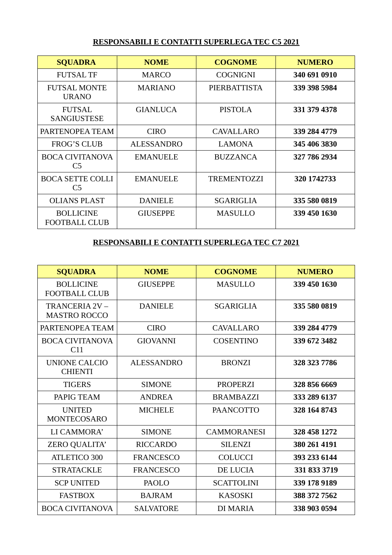## **RESPONSABILI E CONTATTI SUPERLEGA TEC C5 2021**

| <b>SQUADRA</b>                            | <b>NOME</b>       | <b>COGNOME</b>     | <b>NUMERO</b> |
|-------------------------------------------|-------------------|--------------------|---------------|
| <b>FUTSAL TF</b>                          | <b>MARCO</b>      | <b>COGNIGNI</b>    | 340 691 0910  |
| <b>FUTSAL MONTE</b><br><b>URANO</b>       | <b>MARIANO</b>    | PIERBATTISTA       | 339 398 5984  |
| <b>FUTSAL</b><br><b>SANGIUSTESE</b>       | <b>GIANLUCA</b>   | <b>PISTOLA</b>     | 331 379 4378  |
| PARTENOPEA TEAM                           | <b>CIRO</b>       | CAVALLARO          | 339 284 4779  |
| <b>FROG'S CLUB</b>                        | <b>ALESSANDRO</b> | <b>LAMONA</b>      | 345 406 3830  |
| <b>BOCA CIVITANOVA</b><br>C5              | <b>EMANUELE</b>   | <b>BUZZANCA</b>    | 327 786 2934  |
| <b>BOCA SETTE COLLI</b><br>C <sub>5</sub> | <b>EMANUELE</b>   | <b>TREMENTOZZI</b> | 320 1742733   |
| <b>OLIANS PLAST</b>                       | <b>DANIELE</b>    | <b>SGARIGLIA</b>   | 335 580 0819  |
| <b>BOLLICINE</b><br><b>FOOTBALL CLUB</b>  | <b>GIUSEPPE</b>   | <b>MASULLO</b>     | 339 450 1630  |

## **RESPONSABILI E CONTATTI SUPERLEGA TEC C7 2021**

| <b>SQUADRA</b>                            | <b>NOME</b>       | <b>COGNOME</b>     | <b>NUMERO</b> |
|-------------------------------------------|-------------------|--------------------|---------------|
| <b>BOLLICINE</b><br><b>FOOTBALL CLUB</b>  | <b>GIUSEPPE</b>   | <b>MASULLO</b>     | 339 450 1630  |
| TRANCERIA 2V-<br><b>MASTRO ROCCO</b>      | <b>DANIELE</b>    | <b>SGARIGLIA</b>   | 335 580 0819  |
| PARTENOPEA TEAM                           | <b>CIRO</b>       | <b>CAVALLARO</b>   | 339 284 4779  |
| <b>BOCA CIVITANOVA</b><br>C <sub>11</sub> | <b>GIOVANNI</b>   | <b>COSENTINO</b>   | 339 672 3482  |
| <b>UNIONE CALCIO</b><br><b>CHIENTI</b>    | <b>ALESSANDRO</b> | <b>BRONZI</b>      | 328 323 7786  |
| <b>TIGERS</b>                             | <b>SIMONE</b>     | <b>PROPERZI</b>    | 328 856 6669  |
| PAPIG TEAM                                | <b>ANDREA</b>     | <b>BRAMBAZZI</b>   | 333 289 6137  |
| <b>UNITED</b><br><b>MONTECOSARO</b>       | <b>MICHELE</b>    | <b>PAANCOTTO</b>   | 328 164 8743  |
| LI CAMMORA'                               | <b>SIMONE</b>     | <b>CAMMORANESI</b> | 328 458 1272  |
| ZERO QUALITA'                             | <b>RICCARDO</b>   | <b>SILENZI</b>     | 380 261 4191  |
| <b>ATLETICO 300</b>                       | <b>FRANCESCO</b>  | <b>COLUCCI</b>     | 393 233 6144  |
| <b>STRATACKLE</b>                         | <b>FRANCESCO</b>  | DE LUCIA           | 331 833 3719  |
| <b>SCP UNITED</b>                         | <b>PAOLO</b>      | <b>SCATTOLINI</b>  | 339 178 9189  |
| <b>FASTBOX</b>                            | <b>BAJRAM</b>     | <b>KASOSKI</b>     | 388 372 7562  |
| <b>BOCA CIVITANOVA</b>                    | <b>SALVATORE</b>  | <b>DI MARIA</b>    | 338 903 0594  |